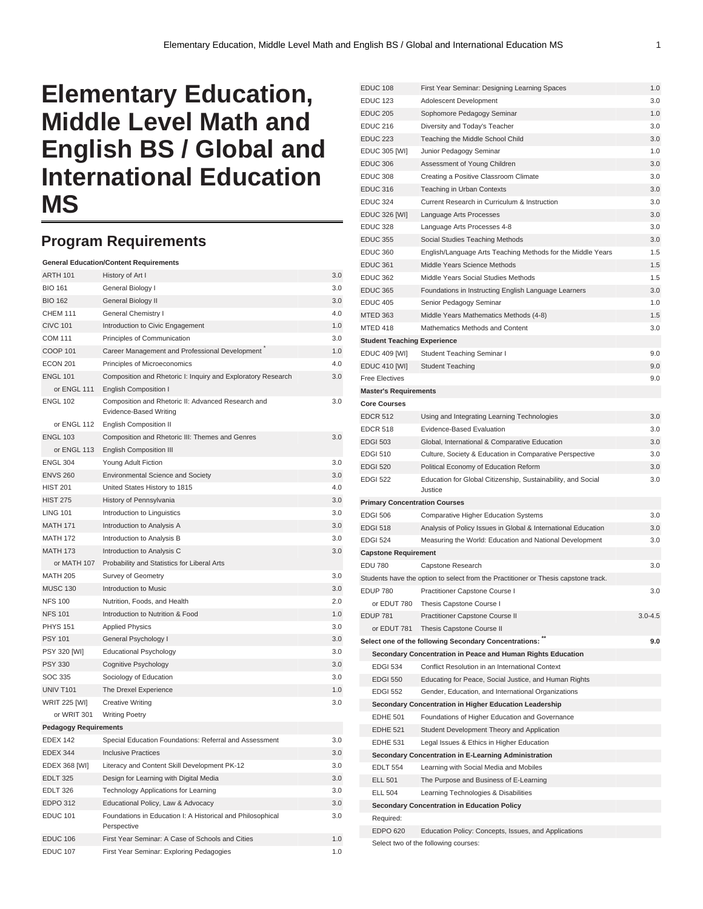## **Elementary Education, Middle Level Math and English BS / Global and International Education MS**

## **Program Requirements**

|                                                  | <b>General Education/Content Requirements</b>                                       |     |
|--------------------------------------------------|-------------------------------------------------------------------------------------|-----|
| <b>ARTH 101</b>                                  | History of Art I                                                                    | 3.0 |
| <b>BIO 161</b>                                   | General Biology I                                                                   | 3.0 |
| <b>BIO 162</b>                                   | General Biology II<br>3.0                                                           |     |
| <b>CHEM 111</b>                                  | General Chemistry I<br>4.0                                                          |     |
| <b>CIVC 101</b>                                  | Introduction to Civic Engagement                                                    | 1.0 |
| <b>COM 111</b>                                   | Principles of Communication                                                         | 3.0 |
| <b>COOP 101</b>                                  | Career Management and Professional Development                                      | 1.0 |
| <b>ECON 201</b><br>Principles of Microeconomics  |                                                                                     | 4.0 |
| <b>ENGL 101</b>                                  | Composition and Rhetoric I: Inquiry and Exploratory Research                        | 3.0 |
| or ENGL 111                                      | <b>English Composition I</b>                                                        |     |
| <b>ENGL 102</b>                                  | Composition and Rhetoric II: Advanced Research and<br><b>Evidence-Based Writing</b> | 3.0 |
| or ENGL 112                                      | <b>English Composition II</b>                                                       |     |
| <b>ENGL 103</b>                                  | Composition and Rhetoric III: Themes and Genres                                     | 3.0 |
| or ENGL 113                                      | <b>English Composition III</b>                                                      |     |
| <b>ENGL 304</b>                                  | Young Adult Fiction                                                                 | 3.0 |
| <b>ENVS 260</b>                                  | <b>Environmental Science and Society</b>                                            | 3.0 |
| <b>HIST 201</b>                                  | United States History to 1815                                                       | 4.0 |
| <b>HIST 275</b>                                  | History of Pennsylvania                                                             | 3.0 |
| <b>LING 101</b>                                  | Introduction to Linguistics                                                         | 3.0 |
| <b>MATH 171</b>                                  | Introduction to Analysis A                                                          | 3.0 |
| <b>MATH 172</b>                                  | Introduction to Analysis B                                                          | 3.0 |
| <b>MATH 173</b>                                  | Introduction to Analysis C                                                          | 3.0 |
| or MATH 107                                      | Probability and Statistics for Liberal Arts                                         |     |
| <b>MATH 205</b>                                  | Survey of Geometry                                                                  | 3.0 |
| <b>MUSC 130</b>                                  | Introduction to Music                                                               | 3.0 |
| <b>NFS 100</b>                                   | Nutrition, Foods, and Health                                                        | 2.0 |
| <b>NFS 101</b>                                   | Introduction to Nutrition & Food                                                    | 1.0 |
| <b>PHYS 151</b>                                  | <b>Applied Physics</b>                                                              | 3.0 |
| <b>PSY 101</b>                                   | General Psychology I                                                                | 3.0 |
| <b>PSY 320 [WI]</b>                              | <b>Educational Psychology</b>                                                       | 3.0 |
| <b>PSY 330</b>                                   | Cognitive Psychology                                                                | 3.0 |
| SOC 335                                          | Sociology of Education                                                              | 3.0 |
| <b>UNIV T101</b>                                 | The Drexel Experience                                                               | 1.0 |
| <b>WRIT 225 [WI]</b>                             | <b>Creative Writing</b>                                                             | 3.0 |
| or WRIT 301                                      | <b>Writing Poetry</b>                                                               |     |
| <b>Pedagogy Requirements</b>                     |                                                                                     |     |
| <b>EDEX 142</b>                                  | Special Education Foundations: Referral and Assessment                              | 3.0 |
| <b>EDEX 344</b>                                  | <b>Inclusive Practices</b>                                                          | 3.0 |
| EDEX 368 [WI]                                    | Literacy and Content Skill Development PK-12                                        | 3.0 |
| <b>EDLT 325</b>                                  | Design for Learning with Digital Media                                              | 3.0 |
| Technology Applications for Learning<br>EDLT 326 |                                                                                     | 3.0 |
| <b>EDPO 312</b>                                  | Educational Policy, Law & Advocacy                                                  | 3.0 |
| <b>EDUC 101</b>                                  | Foundations in Education I: A Historical and Philosophical<br>Perspective           | 3.0 |
| EDUC 106                                         | First Year Seminar: A Case of Schools and Cities                                    | 1.0 |
| <b>EDUC 107</b>                                  | First Year Seminar: Exploring Pedagogies                                            | 1.0 |

| <b>EDUC 108</b>                                                                            | First Year Seminar: Designing Learning Spaces                                                            |             |  |
|--------------------------------------------------------------------------------------------|----------------------------------------------------------------------------------------------------------|-------------|--|
| <b>EDUC 123</b>                                                                            | Adolescent Development                                                                                   | 3.0         |  |
| <b>EDUC 205</b>                                                                            | Sophomore Pedagogy Seminar                                                                               | 1.0         |  |
| <b>EDUC 216</b>                                                                            | Diversity and Today's Teacher                                                                            | 3.0         |  |
| <b>EDUC 223</b>                                                                            | Teaching the Middle School Child                                                                         | 3.0         |  |
| <b>EDUC 305 [WI]</b>                                                                       | Junior Pedagogy Seminar                                                                                  | 1.0         |  |
| <b>EDUC 306</b>                                                                            | Assessment of Young Children                                                                             | 3.0         |  |
| <b>EDUC 308</b>                                                                            | Creating a Positive Classroom Climate                                                                    | 3.0         |  |
| <b>EDUC 316</b>                                                                            | Teaching in Urban Contexts                                                                               | 3.0         |  |
| <b>EDUC 324</b>                                                                            | Current Research in Curriculum & Instruction                                                             |             |  |
| <b>EDUC 326 [WI]</b>                                                                       | Language Arts Processes                                                                                  | 3.0         |  |
| <b>EDUC 328</b>                                                                            | Language Arts Processes 4-8                                                                              | 3.0         |  |
| <b>EDUC 355</b>                                                                            | Social Studies Teaching Methods                                                                          | 3.0         |  |
| <b>EDUC 360</b>                                                                            | English/Language Arts Teaching Methods for the Middle Years                                              | 1.5         |  |
| <b>EDUC 361</b>                                                                            | Middle Years Science Methods                                                                             | 1.5         |  |
| <b>EDUC 362</b>                                                                            | Middle Years Social Studies Methods                                                                      | 1.5         |  |
| <b>EDUC 365</b>                                                                            | Foundations in Instructing English Language Learners                                                     | 3.0         |  |
| <b>EDUC 405</b>                                                                            | Senior Pedagogy Seminar                                                                                  | 1.0         |  |
| <b>MTED 363</b>                                                                            | Middle Years Mathematics Methods (4-8)                                                                   | 1.5         |  |
| MTED 418                                                                                   | Mathematics Methods and Content                                                                          | 3.0         |  |
| <b>Student Teaching Experience</b>                                                         |                                                                                                          |             |  |
| <b>EDUC 409 [WI]</b>                                                                       | Student Teaching Seminar I                                                                               | 9.0         |  |
| <b>EDUC 410 [WI]</b>                                                                       | <b>Student Teaching</b>                                                                                  | 9.0         |  |
| <b>Free Electives</b>                                                                      |                                                                                                          | 9.0         |  |
| <b>Master's Requirements</b>                                                               |                                                                                                          |             |  |
| <b>Core Courses</b>                                                                        |                                                                                                          |             |  |
| <b>EDCR 512</b>                                                                            | Using and Integrating Learning Technologies                                                              | 3.0         |  |
| <b>EDCR 518</b>                                                                            | Evidence-Based Evaluation                                                                                | 3.0         |  |
| <b>EDGI 503</b>                                                                            | Global, International & Comparative Education                                                            | 3.0         |  |
| <b>EDGI 510</b>                                                                            | Culture, Society & Education in Comparative Perspective                                                  | 3.0         |  |
| <b>EDGI 520</b>                                                                            | Political Economy of Education Reform                                                                    | 3.0         |  |
| <b>EDGI 522</b><br>Education for Global Citizenship, Sustainability, and Social<br>Justice |                                                                                                          | 3.0         |  |
| <b>Primary Concentration Courses</b>                                                       |                                                                                                          |             |  |
| <b>EDGI 506</b>                                                                            | <b>Comparative Higher Education Systems</b>                                                              | 3.0         |  |
| <b>EDGI 518</b>                                                                            | Analysis of Policy Issues in Global & International Education                                            | 3.0         |  |
| <b>EDGI 524</b>                                                                            | Measuring the World: Education and National Development                                                  | 3.0         |  |
| <b>Capstone Requirement</b>                                                                |                                                                                                          |             |  |
| <b>EDU 780</b>                                                                             | Capstone Research                                                                                        | 3.0         |  |
|                                                                                            | Students have the option to select from the Practitioner or Thesis capstone track.                       |             |  |
| <b>EDUP 780</b>                                                                            | Practitioner Capstone Course I                                                                           | 3.0         |  |
| or EDUT 780                                                                                | Thesis Capstone Course I                                                                                 |             |  |
| <b>EDUP 781</b>                                                                            | Practitioner Capstone Course II                                                                          | $3.0 - 4.5$ |  |
|                                                                                            | or EDUT 781 Thesis Capstone Course II                                                                    |             |  |
|                                                                                            | Select one of the following Secondary Concentrations: "                                                  | 9.0         |  |
|                                                                                            | Secondary Concentration in Peace and Human Rights Education                                              |             |  |
| <b>EDGI 534</b>                                                                            | Conflict Resolution in an International Context                                                          |             |  |
| <b>EDGI 550</b>                                                                            | Educating for Peace, Social Justice, and Human Rights                                                    |             |  |
| <b>EDGI 552</b>                                                                            | Gender, Education, and International Organizations                                                       |             |  |
|                                                                                            |                                                                                                          |             |  |
| EDHE 501                                                                                   | Secondary Concentration in Higher Education Leadership<br>Foundations of Higher Education and Governance |             |  |
| <b>EDHE 521</b>                                                                            | Student Development Theory and Application                                                               |             |  |
| <b>EDHE 531</b><br>Legal Issues & Ethics in Higher Education                               |                                                                                                          |             |  |
|                                                                                            | Secondary Concentration in E-Learning Administration                                                     |             |  |
|                                                                                            | Learning with Social Media and Mobiles<br><b>EDLT 554</b>                                                |             |  |
| <b>ELL 501</b>                                                                             | The Purpose and Business of E-Learning                                                                   |             |  |
| <b>ELL 504</b>                                                                             | Learning Technologies & Disabilities                                                                     |             |  |
|                                                                                            | Secondary Concentration in Education Policy                                                              |             |  |
|                                                                                            | Required:                                                                                                |             |  |
|                                                                                            |                                                                                                          |             |  |
| <b>EDPO 620</b>                                                                            | Education Policy: Concepts, Issues, and Applications                                                     |             |  |